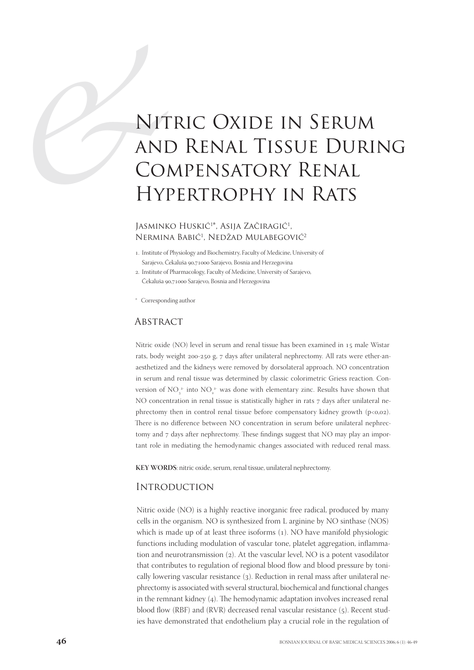# NIT<br>
ANI<br>
CO<br>
HY<br>
JASMINE Nitric Oxide in Serum and Renal Tissue During Compensatory Renal Hypertrophy in Rats

## Iasminko Huskić<sup>1\*</sup>, Asija Začiragić<sup>1</sup>, NERMINA BABIĆ<sup>1</sup>, NEDŽAD MULABEGOVIĆ<sup>2</sup>

- . Institute of Physiology and Biochemistry, Faculty of Medicine, University of Sarajevo, Čekaluša 90,71000 Sarajevo, Bosnia and Herzegovina
- . Institute of Pharmacology, Faculty of Medicine, University of Sarajevo, Čekaluša 90,71000 Sarajevo, Bosnia and Herzegovina
- \* Corresponding author

### **ABSTRACT**

Nitric oxide (NO) level in serum and renal tissue has been examined in 15 male Wistar rats, body weight 200-250 g, 7 days after unilateral nephrectomy. All rats were ether-anaesthetized and the kidneys were removed by dorsolateral approach. NO concentration in serum and renal tissue was determined by classic colorimetric Griess reaction. Conversion of NO<sub>3</sub><sup>2</sup> into NO<sub>2</sub><sup>2</sup> was done with elementary zinc. Results have shown that NO concentration in renal tissue is statistically higher in rats 7 days after unilateral nephrectomy then in control renal tissue before compensatory kidney growth  $(p<0,02)$ . There is no difference between NO concentration in serum before unilateral nephrectomy and 7 days after nephrectomy. These findings suggest that NO may play an important role in mediating the hemodynamic changes associated with reduced renal mass.

**KEY WORDS**: nitric oxide, serum, renal tissue, unilateral nephrectomy.

#### **INTRODUCTION**

Nitric oxide (NO) is a highly reactive inorganic free radical, produced by many cells in the organism. NO is synthesized from L arginine by NO sinthase (NOS) which is made up of at least three isoforms  $(1)$ . NO have manifold physiologic functions including modulation of vascular tone, platelet aggregation, inflammation and neurotransmission  $(2)$ . At the vascular level, NO is a potent vasodilator that contributes to regulation of regional blood flow and blood pressure by tonically lowering vascular resistance (3). Reduction in renal mass after unilateral nephrectomy is associated with several structural, biochemical and functional changes in the remnant kidney  $(4)$ . The hemodynamic adaptation involves increased renal blood flow (RBF) and (RVR) decreased renal vascular resistance  $(5)$ . Recent studies have demonstrated that endothelium play a crucial role in the regulation of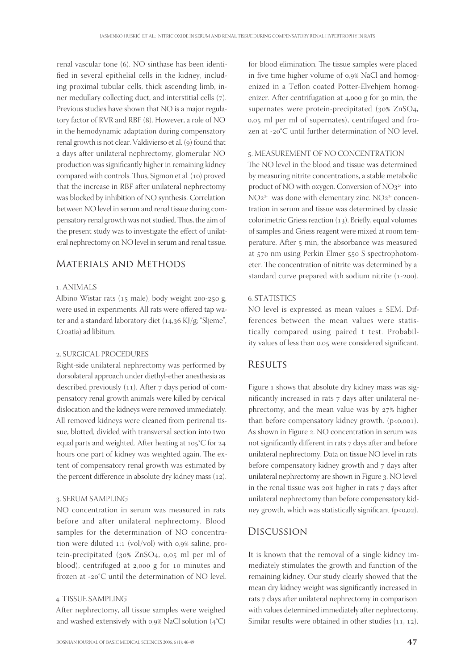renal vascular tone (6). NO sinthase has been identified in several epithelial cells in the kidney, including proximal tubular cells, thick ascending limb, inner medullary collecting duct, and interstitial cells  $(7)$ . Previous studies have shown that NO is a major regulatory factor of RVR and RBF (8). However, a role of NO in the hemodynamic adaptation during compensatory renal growth is not clear. Valdivierso et al. (9) found that days after unilateral nephrectomy, glomerular NO production was significantly higher in remaining kidney compared with controls. Thus, Sigmon et al. (10) proved that the increase in RBF after unilateral nephrectomy was blocked by inhibition of NO synthesis. Correlation between NO level in serum and renal tissue during compensatory renal growth was not studied. Thus, the aim of the present study was to investigate the effect of unilateral nephrectomy on NO level in serum and renal tissue.

# Materials and Methods

#### . ANIMALS

Albino Wistar rats ( $15$  male), body weight  $200-250$  g, were used in experiments. All rats were offered tap water and a standard laboratory diet  $(14,36 \text{ K})/\text{g}$ ; "Sljeme", Croatia) ad libitum.

#### . SURGICAL PROCEDURES

Right-side unilateral nephrectomy was performed by dorsolateral approach under diethyl-ether anesthesia as described previously  $(11)$ . After 7 days period of compensatory renal growth animals were killed by cervical dislocation and the kidneys were removed immediately. All removed kidneys were cleaned from perirenal tissue, blotted, divided with transversal section into two equal parts and weighted. After heating at  $105^{\circ}$ C for 24 hours one part of kidney was weighted again. The extent of compensatory renal growth was estimated by the percent difference in absolute dry kidney mass  $(12)$ .

#### . SERUM SAMPLING

NO concentration in serum was measured in rats before and after unilateral nephrectomy. Blood samples for the determination of NO concentration were diluted  $1:1$  (vol/vol) with 0,9% saline, protein-precipitated (30% ZnSO4, 0,05 ml per ml of blood), centrifuged at 2,000 g for 10 minutes and frozen at -20 $^{\circ}$ C until the determination of NO level.

#### . TISSUE SAMPLING

After nephrectomy, all tissue samples were weighed and washed extensively with 0,9% NaCl solution  $(4^{\circ}C)$ 

for blood elimination. The tissue samples were placed in five time higher volume of 0,9% NaCl and homogenized in a Teflon coated Potter-Elvehjem homogenizer. After centrifugation at  $4,000$  g for  $30$  min, the supernates were protein-precipitated (30% ZnSO4,  $0.05$  ml per ml of supernates), centrifuged and frozen at -20°C until further determination of NO level.

## . MEASUREMENT OF NO CONCENTRATION

The NO level in the blood and tissue was determined by measuring nitrite concentrations, a stable metabolic product of NO with oxygen. Conversion of  $NO<sub>3</sub><sup>2</sup>$  into  $NO<sub>2</sub><sup>2</sup>$  was done with elementary zinc.  $NO<sub>2</sub><sup>2</sup>$  concentration in serum and tissue was determined by classic colorimetric Griess reaction  $(13)$ . Briefly, equal volumes of samples and Griess reagent were mixed at room temperature. After 5 min, the absorbance was measured at 570 nm using Perkin Elmer 550 S spectrophotometer. The concentration of nitrite was determined by a standard curve prepared with sodium nitrite  $(1-200)$ .

#### . STATISTICS

NO level is expressed as mean values ± SEM. Differences between the mean values were statistically compared using paired t test. Probability values of less than 0.05 were considered significant.

## **RESULTS**

Figure 1 shows that absolute dry kidney mass was significantly increased in rats 7 days after unilateral nephrectomy, and the mean value was by  $27\%$  higher than before compensatory kidney growth.  $(p<0.001)$ . As shown in Figure 2. NO concentration in serum was not significantly different in rats 7 days after and before unilateral nephrectomy. Data on tissue NO level in rats before compensatory kidney growth and 7 days after unilateral nephrectomy are shown in Figure 3. NO level in the renal tissue was  $20\%$  higher in rats  $7$  days after unilateral nephrectomy than before compensatory kidney growth, which was statistically significant  $(p<0.02)$ .

## Discussion

It is known that the removal of a single kidney immediately stimulates the growth and function of the remaining kidney. Our study clearly showed that the mean dry kidney weight was significantly increased in rats 7 days after unilateral nephrectomy in comparison with values determined immediately after nephrectomy. Similar results were obtained in other studies  $(11, 12)$ .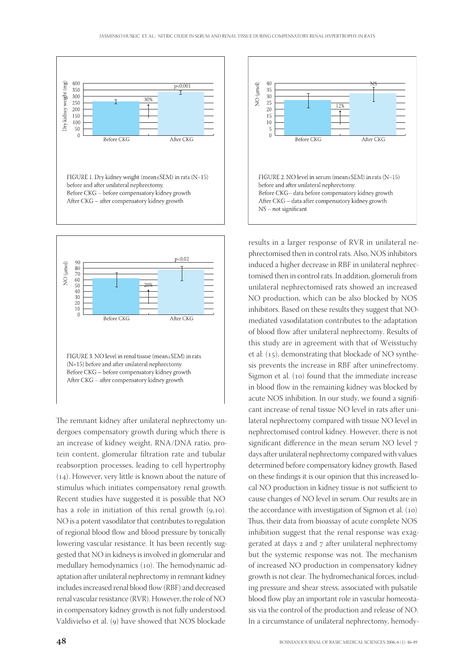

The remnant kidney after unilateral nephrectomy undergoes compensatory growth during which there is an increase of kidney weight, RNA/DNA ratio, protein content, glomerular filtration rate and tubular reabsorption processes, leading to cell hypertrophy (14). However, very little is known about the nature of stimulus which initiates compensatory renal growth. Recent studies have suggested it is possible that NO has a role in initiation of this renal growth  $(9,10)$ . NO is a potent vasodilator that contributes to regulation of regional blood flow and blood pressure by tonically lowering vascular resistance. It has been recently suggested that NO in kidneys is involved in glomerular and medullary hemodynamics (10). The hemodynamic adaptation after unilateral nephrectomy in remnant kidney includes increased renal blood flow (RBF) and decreased renal vascular resistance (RVR). However, the role of NO in compensatory kidney growth is not fully understood. Valdivielso et al. (9) have showed that NOS blockade



results in a larger response of RVR in unilateral nephrectomised then in control rats. Also, NOS inhibitors induced a higher decrease in RBF in unilateral nephrectomised then in control rats. In addition, glomeruli from unilateral nephrectomised rats showed an increased NO production, which can be also blocked by NOS inhibitors. Based on these results they suggest that NOmediated vasodilatation contributes to the adaptation of blood flow after unilateral nephrectomy. Results of this study are in agreement with that of Weisstuchy et al:  $(15)$ , demonstrating that blockade of NO synthesis prevents the increase in RBF after uninefrectomy. Sigmon et al.  $(10)$  found that the immediate increase in blood flow in the remaining kidney was blocked by acute NOS inhibition. In our study, we found a significant increase of renal tissue NO level in rats after unilateral nephrectomy compared with tissue NO level in nephrectomised control kidney. However, there is not significant difference in the mean serum NO level 7 days after unilateral nephrectomy compared with values determined before compensatory kidney growth. Based on these findings it is our opinion that this increased local NO production in kidney tissue is not sufficient to cause changes of NO level in serum. Our results are in the accordance with investigation of Sigmon et al.  $(10)$ Thus, their data from bioassay of acute complete NOS inhibition suggest that the renal response was exaggerated at days 2 and 7 after unilateral nephrectomy but the systemic response was not. The mechanism of increased NO production in compensatory kidney growth is not clear. The hydromechanical forces, including pressure and shear stress, associated with pulsatile blood flow play an important role in vascular homeostasis via the control of the production and release of NO. In a circumstance of unilateral nephrectomy, hemody-